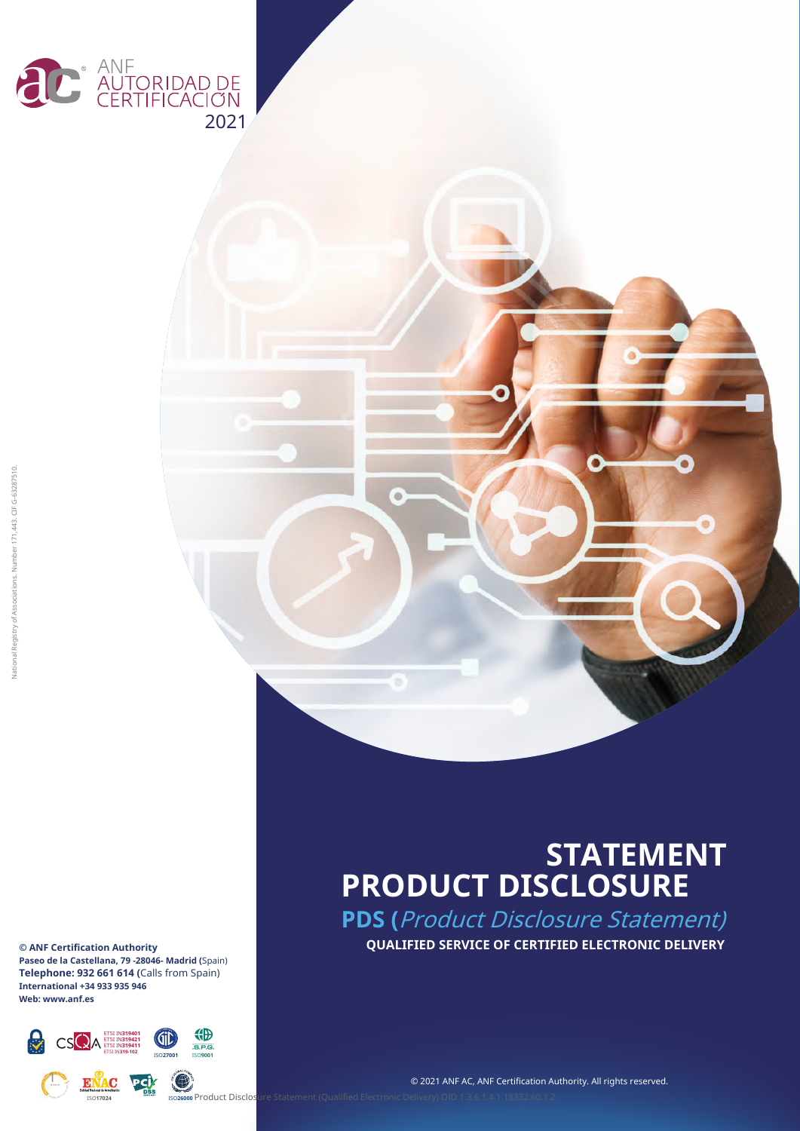



## **STATEMENT PRODUCT DISCLOSURE**

**PDS (**Product Disclosure Statement) **QUALIFIED SERVICE OF CERTIFIED ELECTRONIC DELIVERY**

ត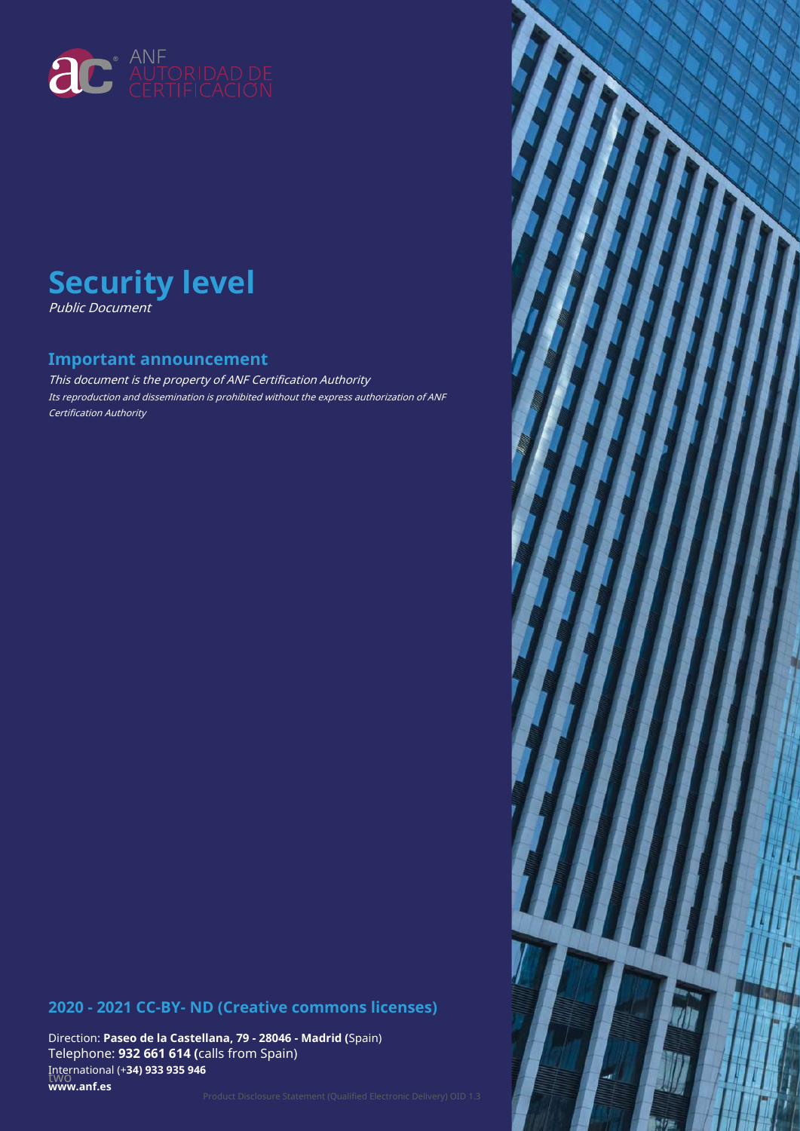



#### **Important announcement**

This document is the property of ANF Certification Authority Its reproduction and dissemination is prohibited without the express authorization of ANF Certification Authority

#### **2020 - 2021 CC-BY- ND (Creative commons licenses)**

Direction: **Paseo de la Castellana, 79 - 28046 - Madrid (**Spain) Telephone: **932 661 614 (**calls from Spain) two International (+**34) 933 935 946 www.anf.es**

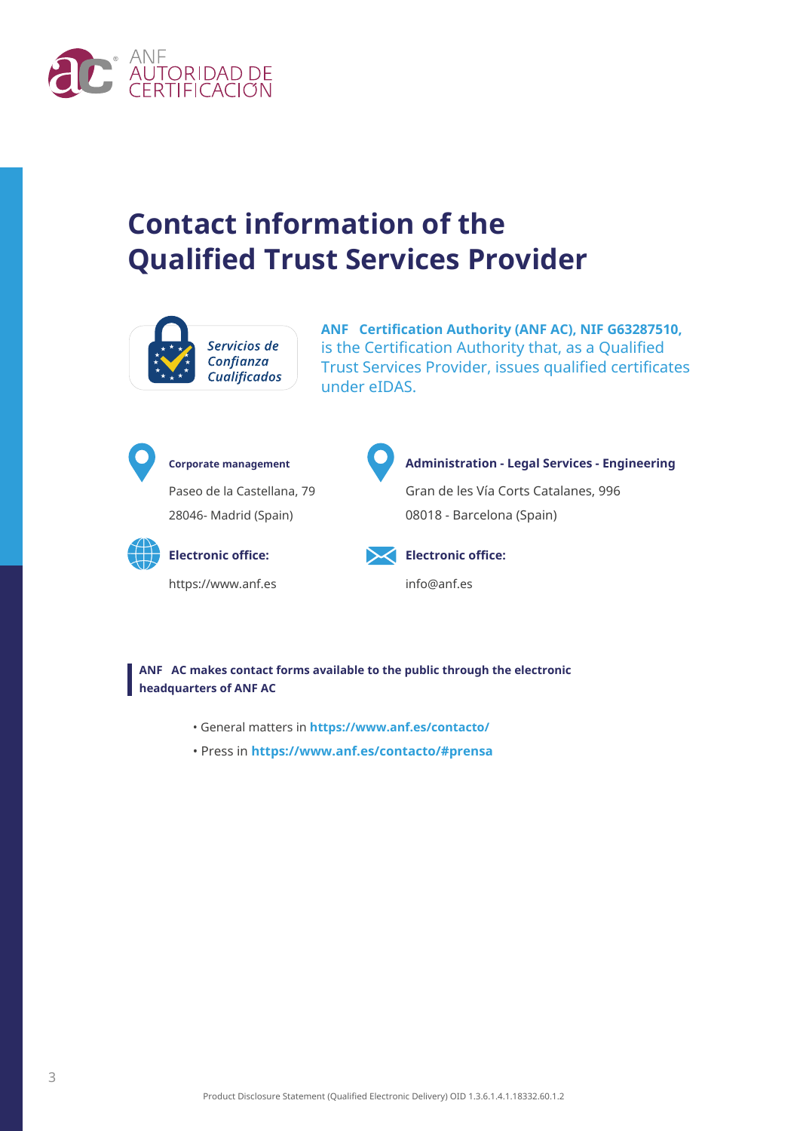

## **Contact information of the Qualified Trust Services Provider**



**ANF Certification Authority (ANF AC), NIF G63287510,** is the Certification Authority that, as a Qualified Trust Services Provider, issues qualified certificates under eIDAS.



Paseo de la Castellana, 79 28046- Madrid (Spain)



https://www.anf.es info@anf.es



#### **Corporate management Administration - Legal Services - Engineering**

Gran de les Vía Corts Catalanes, 996 08018 - Barcelona (Spain)



**Electronic office: Electronic office:**

**ANF AC makes contact forms available to the public through the electronic headquarters of ANF AC**

- General matters in **https://www.anf.es/contacto/**
- Press in **https://www.anf.es/contacto/#prensa**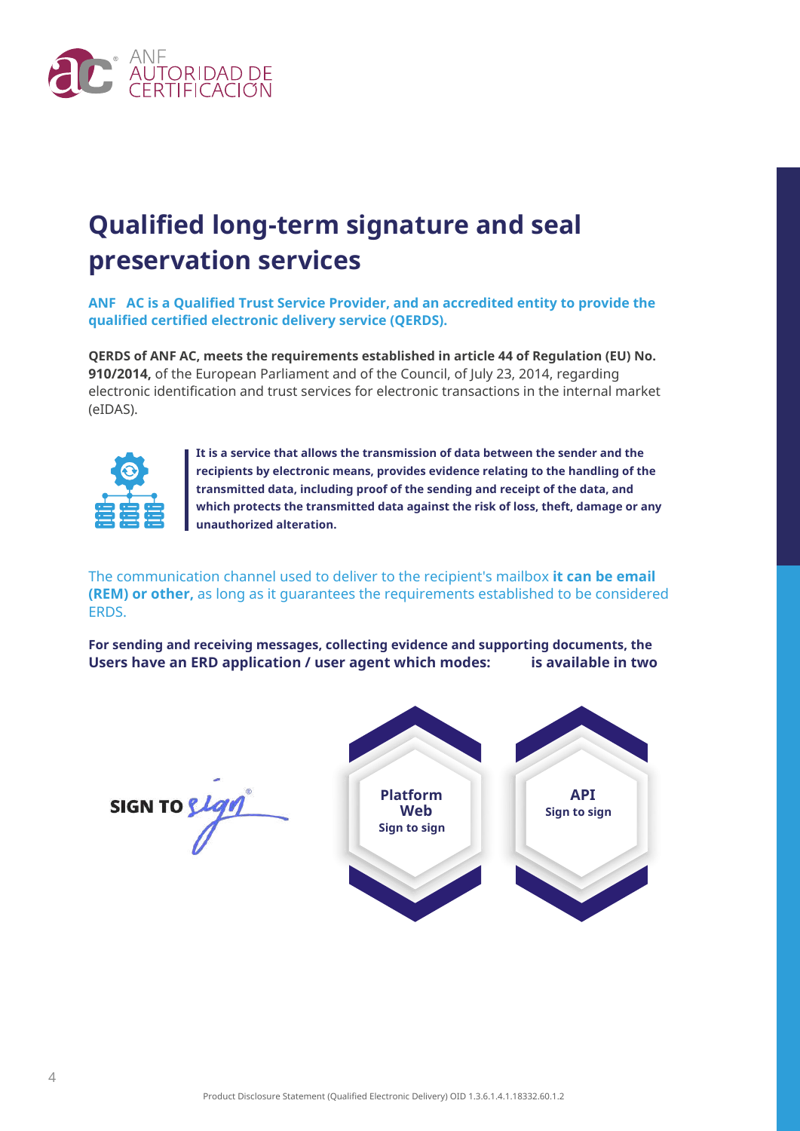

## **Qualified long-term signature and seal preservation services**

**ANF AC is a Qualified Trust Service Provider, and an accredited entity to provide the qualified certified electronic delivery service (QERDS).**

**QERDS of ANF AC, meets the requirements established in article 44 of Regulation (EU) No. 910/2014,** of the European Parliament and of the Council, of July 23, 2014, regarding electronic identification and trust services for electronic transactions in the internal market (eIDAS).



**It is a service that allows the transmission of data between the sender and the recipients by electronic means, provides evidence relating to the handling of the transmitted data, including proof of the sending and receipt of the data, and which protects the transmitted data against the risk of loss, theft, damage or any unauthorized alteration.**

The communication channel used to deliver to the recipient's mailbox **it can be email (REM) or other,** as long as it guarantees the requirements established to be considered ERDS.

**For sending and receiving messages, collecting evidence and supporting documents, the Users have an ERD application / user agent which modes: is available in two**

**SIGN TO {** 

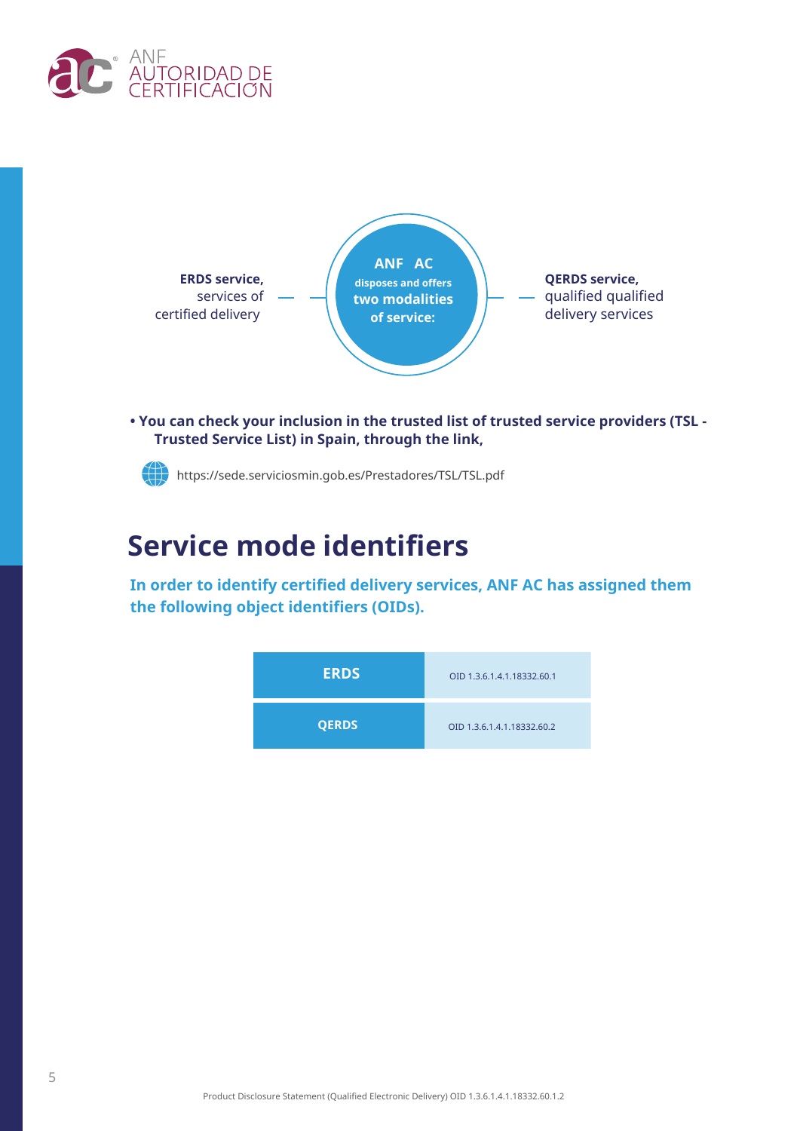



**• You can check your inclusion in the trusted list of trusted service providers (TSL - Trusted Service List) in Spain, through the link,**

https://sede.serviciosmin.gob.es/Prestadores/TSL/TSL.pdf

## **Service mode identifiers**

**In order to identify certified delivery services, ANF AC has assigned them the following object identifiers (OIDs).**

| <b>ERDS</b>  | OID 1.3.6.1.4.1.18332.60.1 |
|--------------|----------------------------|
| <b>QERDS</b> | OID 1.3.6.1.4.1.18332.60.2 |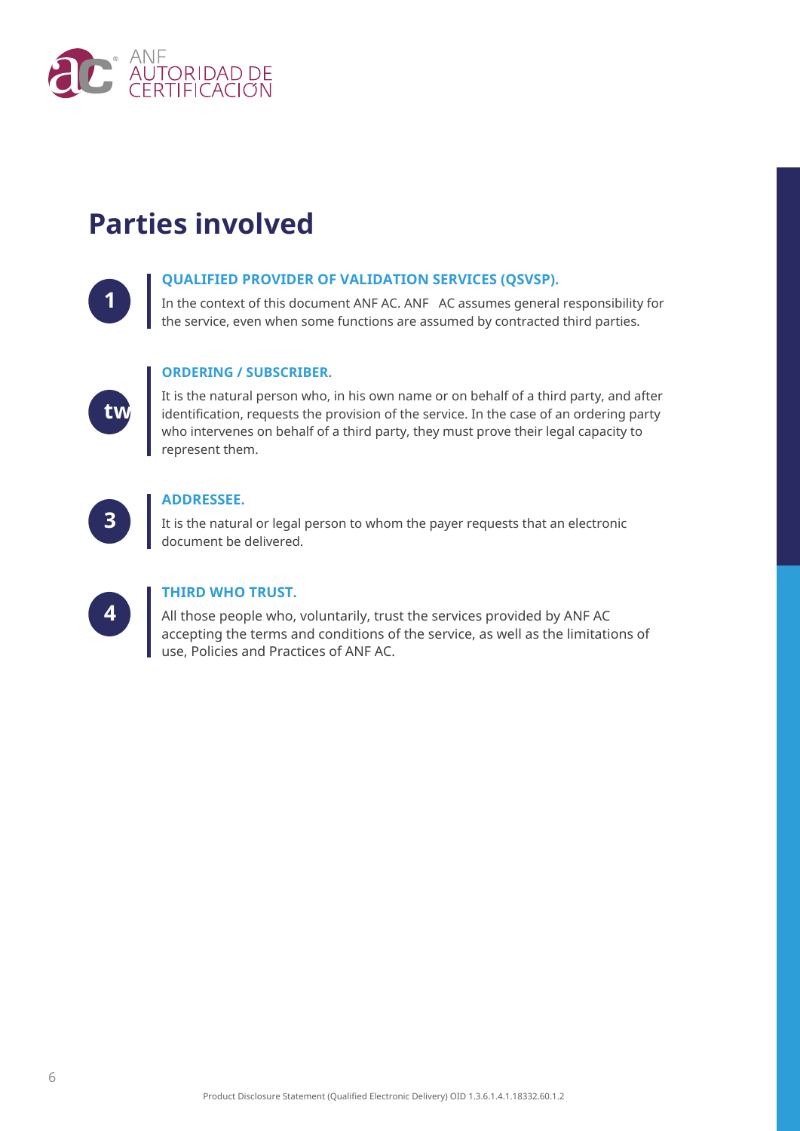

## **Parties involved**

#### **QUALIFIED PROVIDER OF VALIDATION SERVICES (QSVSP).**

**1** In the context of this document ANF AC. ANF AC assumes general responsibility for the service, even when some functions are assumed by contracted third parties.

#### **ORDERING / SUBSCRIBER.**

It is the natural person who, in his own name or on behalf of a third party, and after identification, requests the provision of the service. In the case of an ordering party who intervenes on behalf of a third party, they must prove their legal capacity to represent them.



**two**

#### **ADDRESSEE.**

**3** It is the natural or legal person to whom the payer requests that an electronic document be delivered.

| ,<br>- 2 |  |
|----------|--|
|          |  |

#### **THIRD WHO TRUST.**

**4** All those people who, voluntarily, trust the services provided by ANF AC accepting the terms and conditions of the service, as well as the limitations of use, Policies and Practices of ANF AC.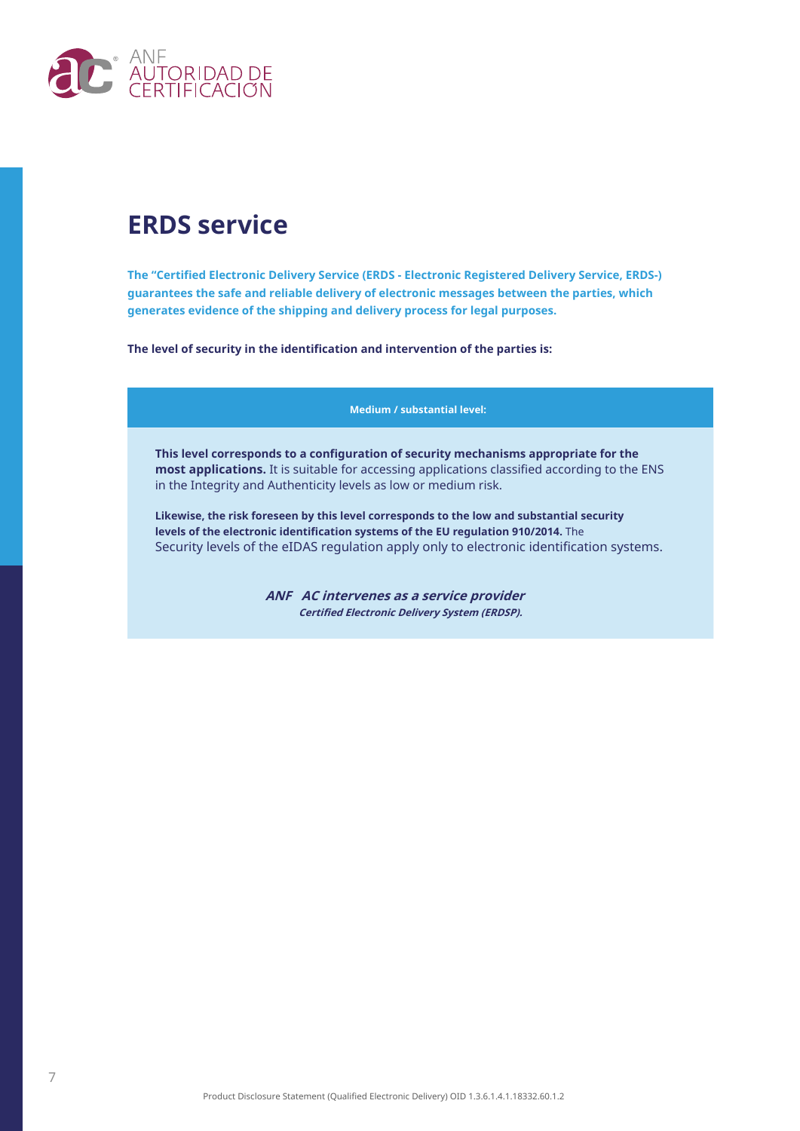

### **ERDS service**

**The "Certified Electronic Delivery Service (ERDS - Electronic Registered Delivery Service, ERDS-) guarantees the safe and reliable delivery of electronic messages between the parties, which generates evidence of the shipping and delivery process for legal purposes.**

**The level of security in the identification and intervention of the parties is:**

**Medium / substantial level:**

**This level corresponds to a configuration of security mechanisms appropriate for the most applications.** It is suitable for accessing applications classified according to the ENS in the Integrity and Authenticity levels as low or medium risk.

**Likewise, the risk foreseen by this level corresponds to the low and substantial security levels of the electronic identification systems of the EU regulation 910/2014.** The Security levels of the eIDAS regulation apply only to electronic identification systems.

> **ANF AC intervenes as a service provider Certified Electronic Delivery System (ERDSP).**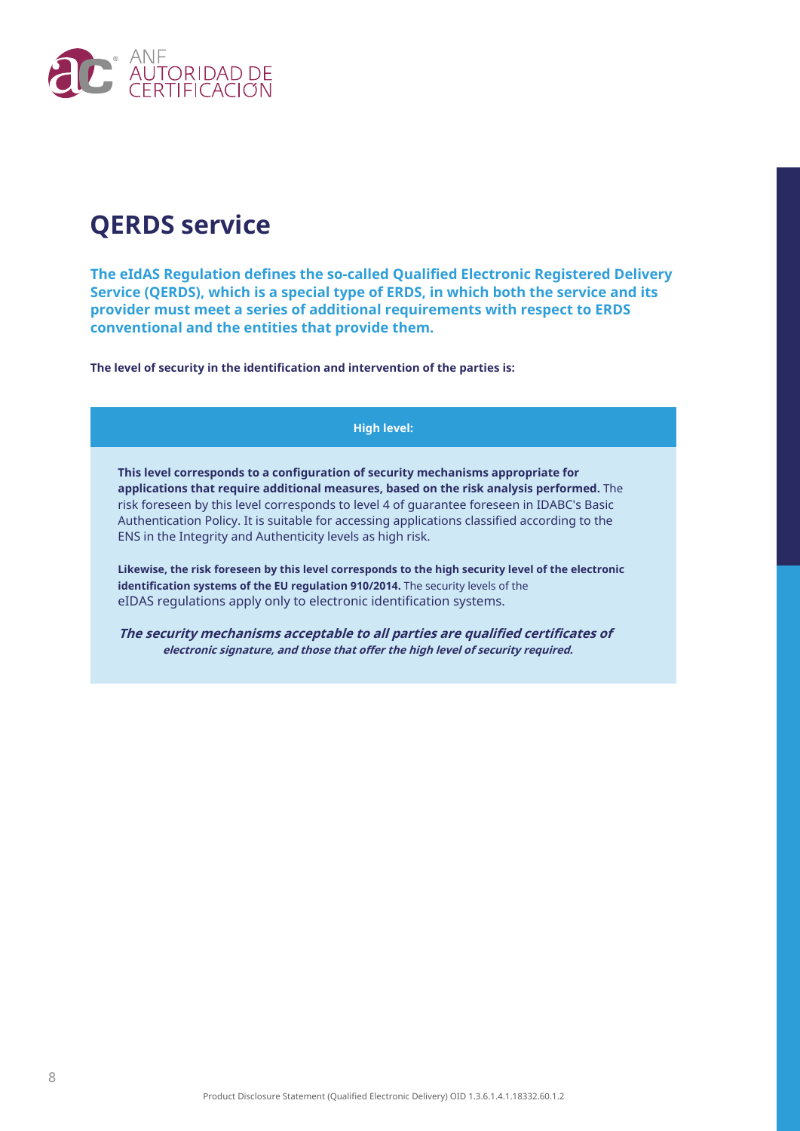

## **QERDS service**

**The eIdAS Regulation defines the so-called Qualified Electronic Registered Delivery Service (QERDS), which is a special type of ERDS, in which both the service and its provider must meet a series of additional requirements with respect to ERDS conventional and the entities that provide them.**

**The level of security in the identification and intervention of the parties is:**

#### **High level:**

**This level corresponds to a configuration of security mechanisms appropriate for applications that require additional measures, based on the risk analysis performed.** The risk foreseen by this level corresponds to level 4 of guarantee foreseen in IDABC's Basic Authentication Policy. It is suitable for accessing applications classified according to the ENS in the Integrity and Authenticity levels as high risk.

**Likewise, the risk foreseen by this level corresponds to the high security level of the electronic identification systems of the EU regulation 910/2014.** The security levels of the eIDAS regulations apply only to electronic identification systems.

**The security mechanisms acceptable to all parties are qualified certificates of electronic signature, and those that offer the high level of security required.**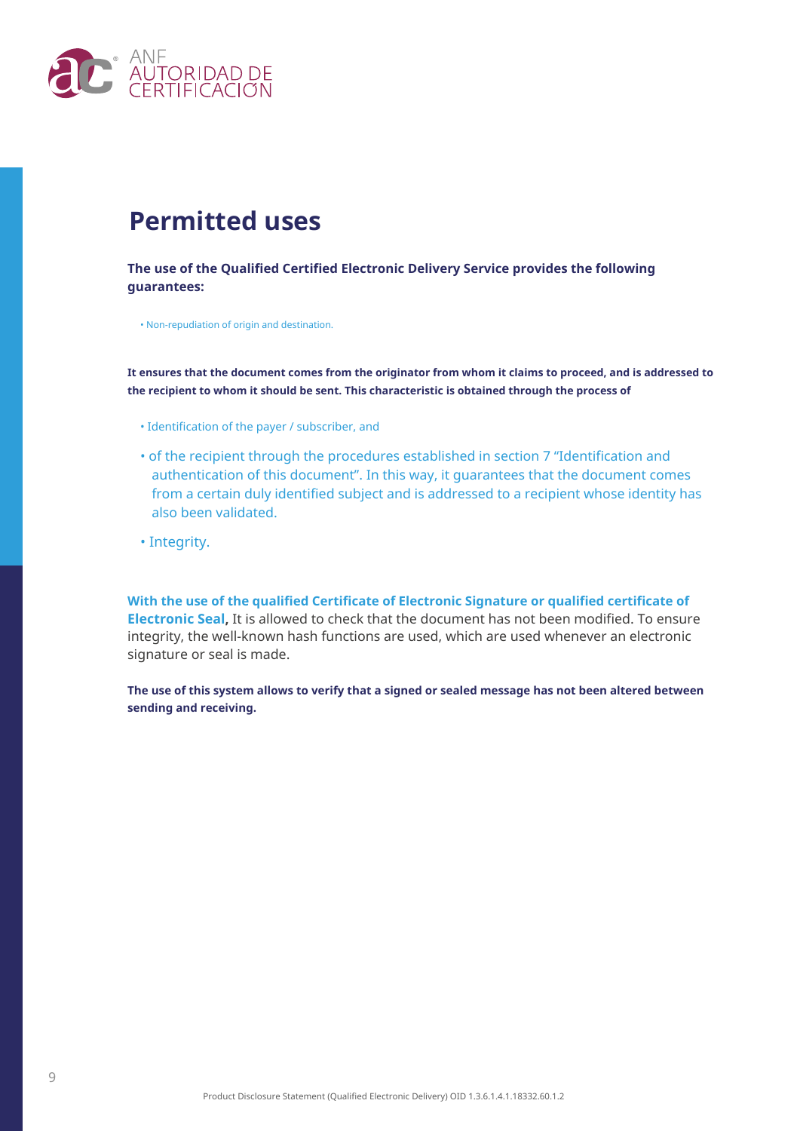

### **Permitted uses**

**The use of the Qualified Certified Electronic Delivery Service provides the following guarantees:**

• Non-repudiation of origin and destination.

**It ensures that the document comes from the originator from whom it claims to proceed, and is addressed to the recipient to whom it should be sent. This characteristic is obtained through the process of**

- Identification of the payer / subscriber, and
- of the recipient through the procedures established in section 7 "Identification and authentication of this document". In this way, it guarantees that the document comes from a certain duly identified subject and is addressed to a recipient whose identity has also been validated.
- Integrity.

**With the use of the qualified Certificate of Electronic Signature or qualified certificate of Electronic Seal,** It is allowed to check that the document has not been modified. To ensure integrity, the well-known hash functions are used, which are used whenever an electronic signature or seal is made.

**The use of this system allows to verify that a signed or sealed message has not been altered between sending and receiving.**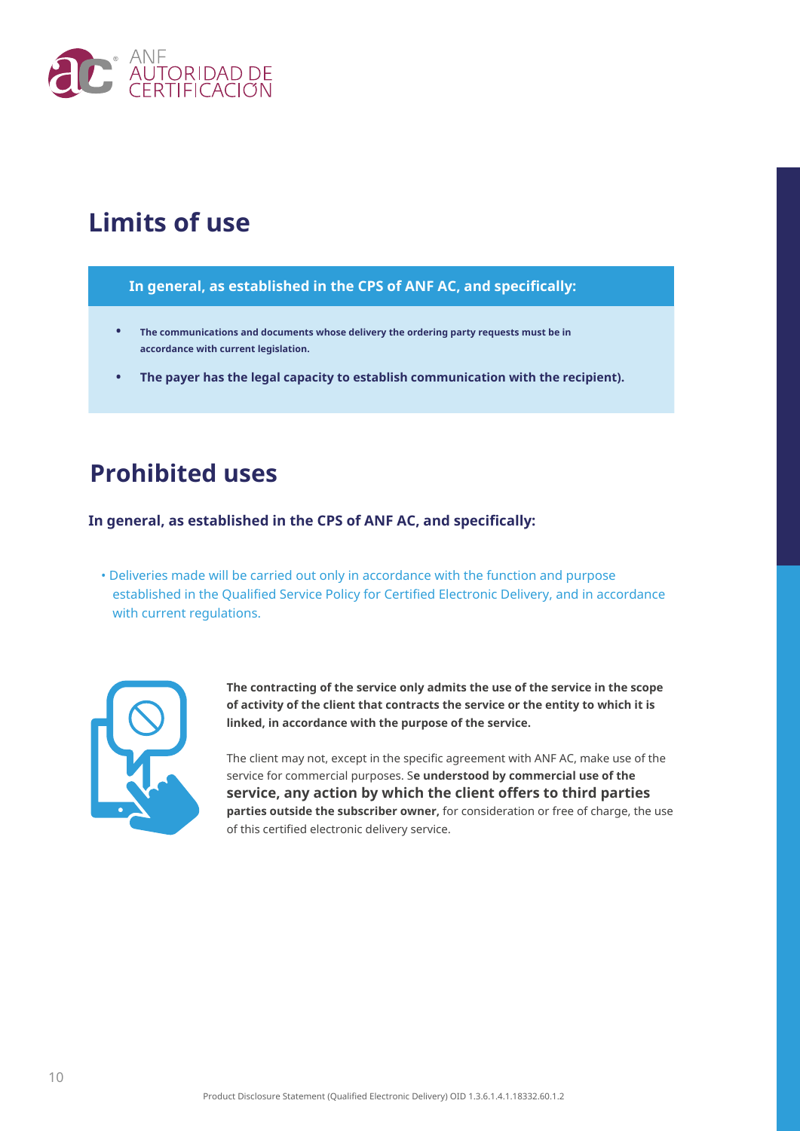

### **Limits of use**

#### **In general, as established in the CPS of ANF AC, and specifically:**

- **• The communications and documents whose delivery the ordering party requests must be in accordance with current legislation.**
- **• The payer has the legal capacity to establish communication with the recipient).**

### **Prohibited uses**

**In general, as established in the CPS of ANF AC, and specifically:**

• Deliveries made will be carried out only in accordance with the function and purpose established in the Qualified Service Policy for Certified Electronic Delivery, and in accordance with current regulations.



**The contracting of the service only admits the use of the service in the scope of activity of the client that contracts the service or the entity to which it is linked, in accordance with the purpose of the service.**

The client may not, except in the specific agreement with ANF AC, make use of the service for commercial purposes. S**e understood by commercial use of the service, any action by which the client offers to third parties parties outside the subscriber owner,** for consideration or free of charge, the use of this certified electronic delivery service.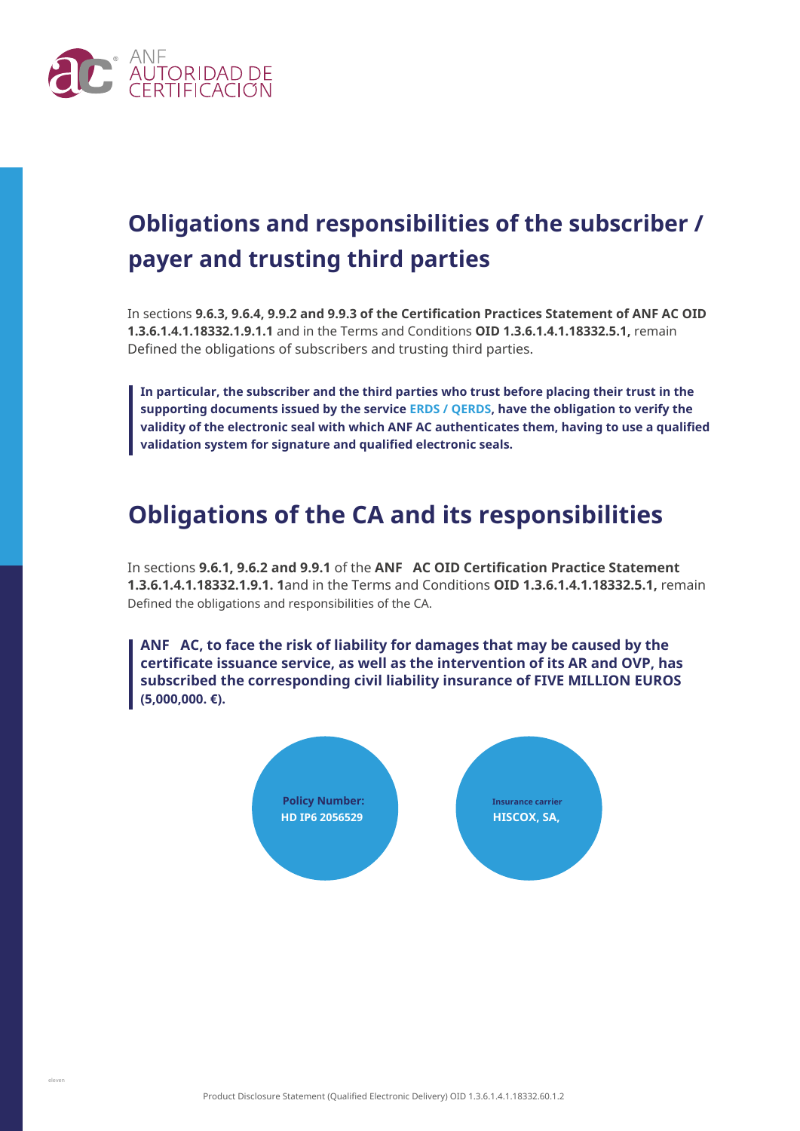

## **Obligations and responsibilities of the subscriber / payer and trusting third parties**

In sections **9.6.3, 9.6.4, 9.9.2 and 9.9.3 of the Certification Practices Statement of ANF AC OID 1.3.6.1.4.1.18332.1.9.1.1** and in the Terms and Conditions **OID 1.3.6.1.4.1.18332.5.1,** remain Defined the obligations of subscribers and trusting third parties.

**In particular, the subscriber and the third parties who trust before placing their trust in the supporting documents issued by the service ERDS / QERDS, have the obligation to verify the validity of the electronic seal with which ANF AC authenticates them, having to use a qualified validation system for signature and qualified electronic seals.**

### **Obligations of the CA and its responsibilities**

In sections **9.6.1, 9.6.2 and 9.9.1** of the **ANF AC OID Certification Practice Statement 1.3.6.1.4.1.18332.1.9.1. 1**and in the Terms and Conditions **OID 1.3.6.1.4.1.18332.5.1,** remain Defined the obligations and responsibilities of the CA.

**ANF AC, to face the risk of liability for damages that may be caused by the certificate issuance service, as well as the intervention of its AR and OVP, has subscribed the corresponding civil liability insurance of FIVE MILLION EUROS (5,000,000. €).**

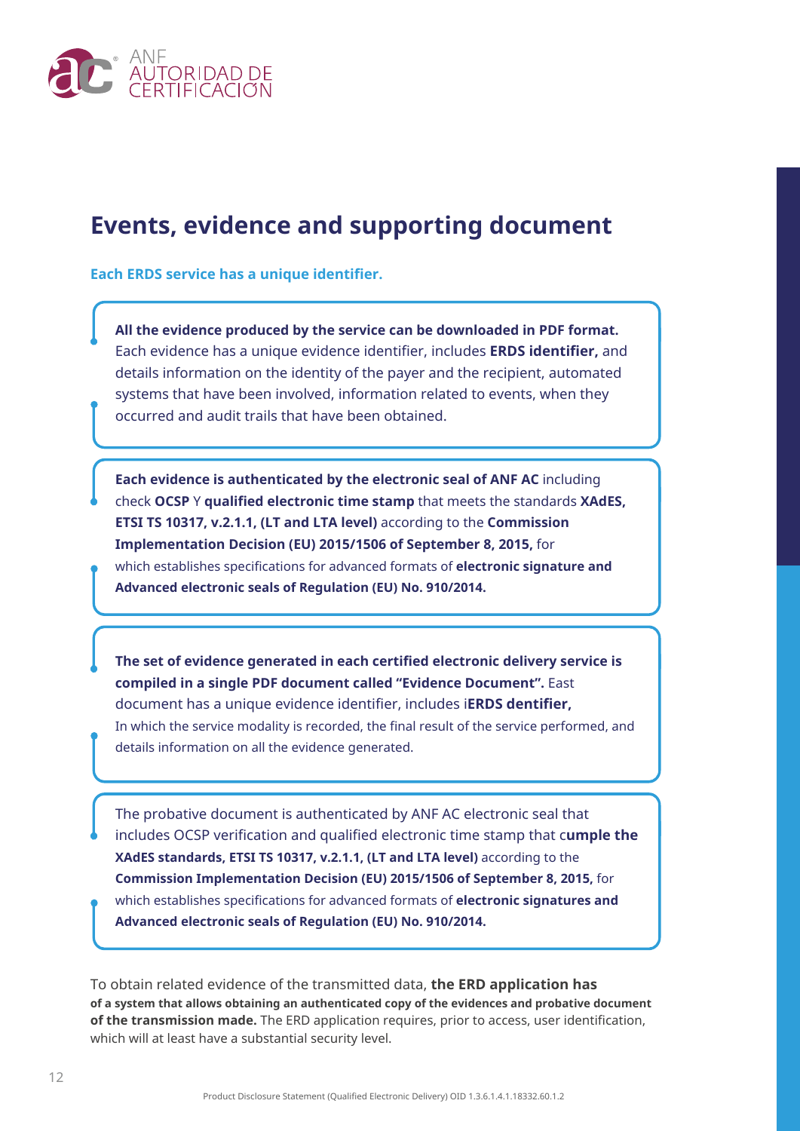

### **Events, evidence and supporting document**

**Each ERDS service has a unique identifier.**

**All the evidence produced by the service can be downloaded in PDF format.** Each evidence has a unique evidence identifier, includes **ERDS identifier,** and details information on the identity of the payer and the recipient, automated systems that have been involved, information related to events, when they occurred and audit trails that have been obtained.

**Each evidence is authenticated by the electronic seal of ANF AC** including check **OCSP** Y **qualified electronic time stamp** that meets the standards **XAdES, ETSI TS 10317, v.2.1.1, (LT and LTA level)** according to the **Commission Implementation Decision (EU) 2015/1506 of September 8, 2015,** for which establishes specifications for advanced formats of **electronic signature and Advanced electronic seals of Regulation (EU) No. 910/2014.**

**The set of evidence generated in each certified electronic delivery service is compiled in a single PDF document called "Evidence Document".** East document has a unique evidence identifier, includes i**ERDS dentifier,** In which the service modality is recorded, the final result of the service performed, and details information on all the evidence generated.

The probative document is authenticated by ANF AC electronic seal that includes OCSP verification and qualified electronic time stamp that c**umple the XAdES standards, ETSI TS 10317, v.2.1.1, (LT and LTA level)** according to the **Commission Implementation Decision (EU) 2015/1506 of September 8, 2015,** for which establishes specifications for advanced formats of **electronic signatures and Advanced electronic seals of Regulation (EU) No. 910/2014.**

To obtain related evidence of the transmitted data, **the ERD application has of a system that allows obtaining an authenticated copy of the evidences and probative document of the transmission made.** The ERD application requires, prior to access, user identification, which will at least have a substantial security level.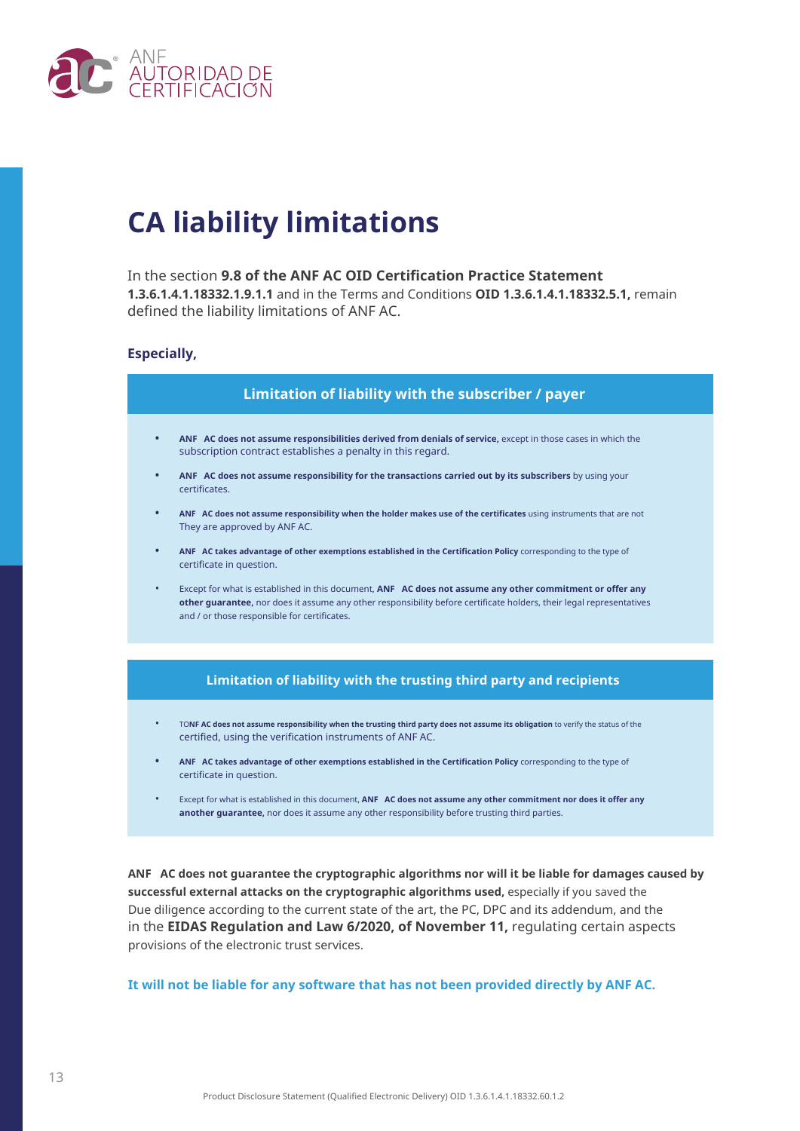

## **CA liability limitations**

#### In the section **9.8 of the ANF AC OID Certification Practice Statement 1.3.6.1.4.1.18332.1.9.1.1** and in the Terms and Conditions **OID 1.3.6.1.4.1.18332.5.1,** remain defined the liability limitations of ANF AC.

#### **Especially,**



- TO**NF AC does not assume responsibility when the trusting third party does not assume its obligation** to verify the status of the certified, using the verification instruments of ANF AC.
- **• ANF AC takes advantage of other exemptions established in the Certification Policy** corresponding to the type of certificate in question.
- Except for what is established in this document, **ANF AC does not assume any other commitment nor does it offer any another guarantee,** nor does it assume any other responsibility before trusting third parties.

**ANF AC does not guarantee the cryptographic algorithms nor will it be liable for damages caused by successful external attacks on the cryptographic algorithms used,** especially if you saved the Due diligence according to the current state of the art, the PC, DPC and its addendum, and the provisions of the electronic trust services. in the **EIDAS Regulation and Law 6/2020, of November 11,** regulating certain aspects

**It will not be liable for any software that has not been provided directly by ANF AC.**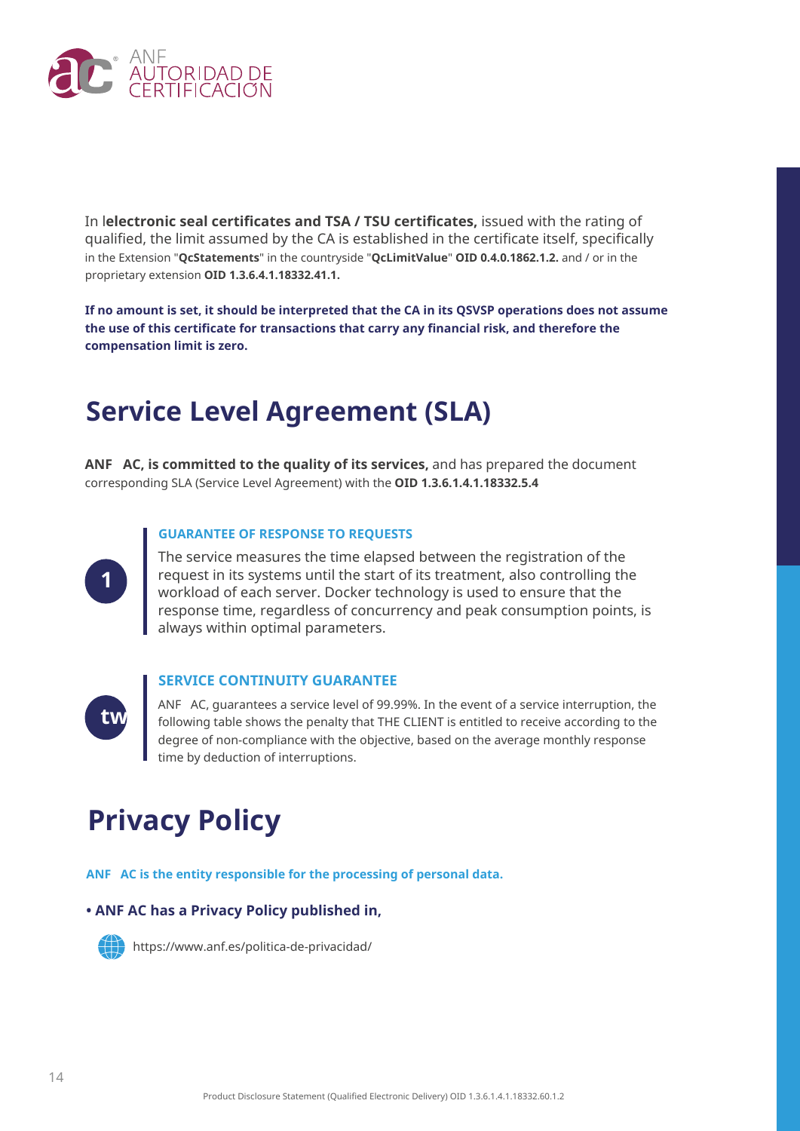

In l**electronic seal certificates and TSA / TSU certificates,** issued with the rating of qualified, the limit assumed by the CA is established in the certificate itself, specifically in the Extension "**QcStatements**" in the countryside "**QcLimitValue**" **OID 0.4.0.1862.1.2.** and / or in the proprietary extension **OID 1.3.6.4.1.18332.41.1.**

**If no amount is set, it should be interpreted that the CA in its QSVSP operations does not assume the use of this certificate for transactions that carry any financial risk, and therefore the compensation limit is zero.**

### **Service Level Agreement (SLA)**

**ANF AC, is committed to the quality of its services,** and has prepared the document corresponding SLA (Service Level Agreement) with the **OID 1.3.6.1.4.1.18332.5.4**

#### **GUARANTEE OF RESPONSE TO REQUESTS**



The service measures the time elapsed between the registration of the request in its systems until the start of its treatment, also controlling the workload of each server. Docker technology is used to ensure that the response time, regardless of concurrency and peak consumption points, is always within optimal parameters.



#### **SERVICE CONTINUITY GUARANTEE**

ANF AC, guarantees a service level of 99.99%. In the event of a service interruption, the following table shows the penalty that THE CLIENT is entitled to receive according to the degree of non-compliance with the objective, based on the average monthly response time by deduction of interruptions.

## **Privacy Policy**

**ANF AC is the entity responsible for the processing of personal data.**

#### **• ANF AC has a Privacy Policy published in,**



https://www.anf.es/politica-de-privacidad/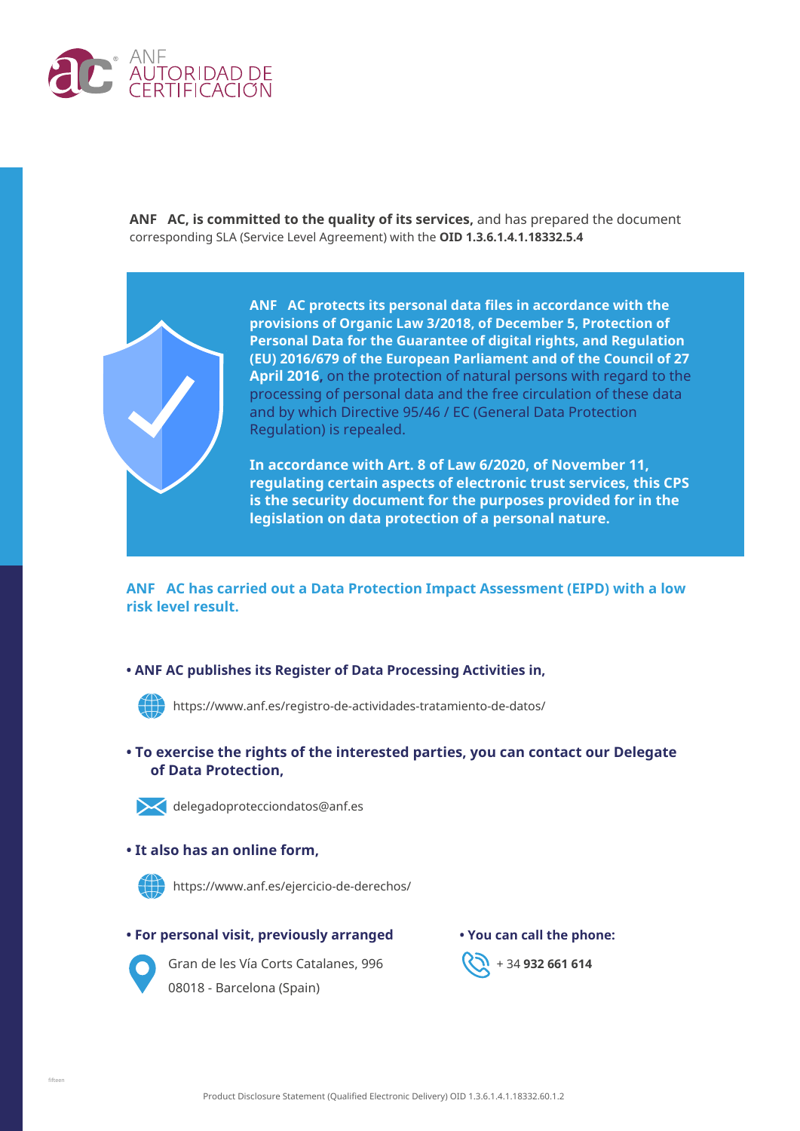

**ANF AC, is committed to the quality of its services,** and has prepared the document corresponding SLA (Service Level Agreement) with the **OID 1.3.6.1.4.1.18332.5.4**



**ANF AC protects its personal data files in accordance with the provisions of Organic Law 3/2018, of December 5, Protection of Personal Data for the Guarantee of digital rights, and Regulation (EU) 2016/679 of the European Parliament and of the Council of 27 April 2016,** on the protection of natural persons with regard to the processing of personal data and the free circulation of these data and by which Directive 95/46 / EC (General Data Protection Regulation) is repealed.

**In accordance with Art. 8 of Law 6/2020, of November 11, regulating certain aspects of electronic trust services, this CPS is the security document for the purposes provided for in the legislation on data protection of a personal nature.**

**ANF AC has carried out a Data Protection Impact Assessment (EIPD) with a low risk level result.**

#### **• ANF AC publishes its Register of Data Processing Activities in,**



https://www.anf.es/registro-de-actividades-tratamiento-de-datos/

**• To exercise the rights of the interested parties, you can contact our Delegate of Data Protection,**



delegadoprotecciondatos@anf.es

#### **• It also has an online form,**



https://www.anf.es/ejercicio-de-derechos/

#### **• For personal visit, previously arranged • You can call the phone:**



Gran de les Vía Corts Catalanes, 996 **(20 + 34 932 661 614**) 08018 - Barcelona (Spain)

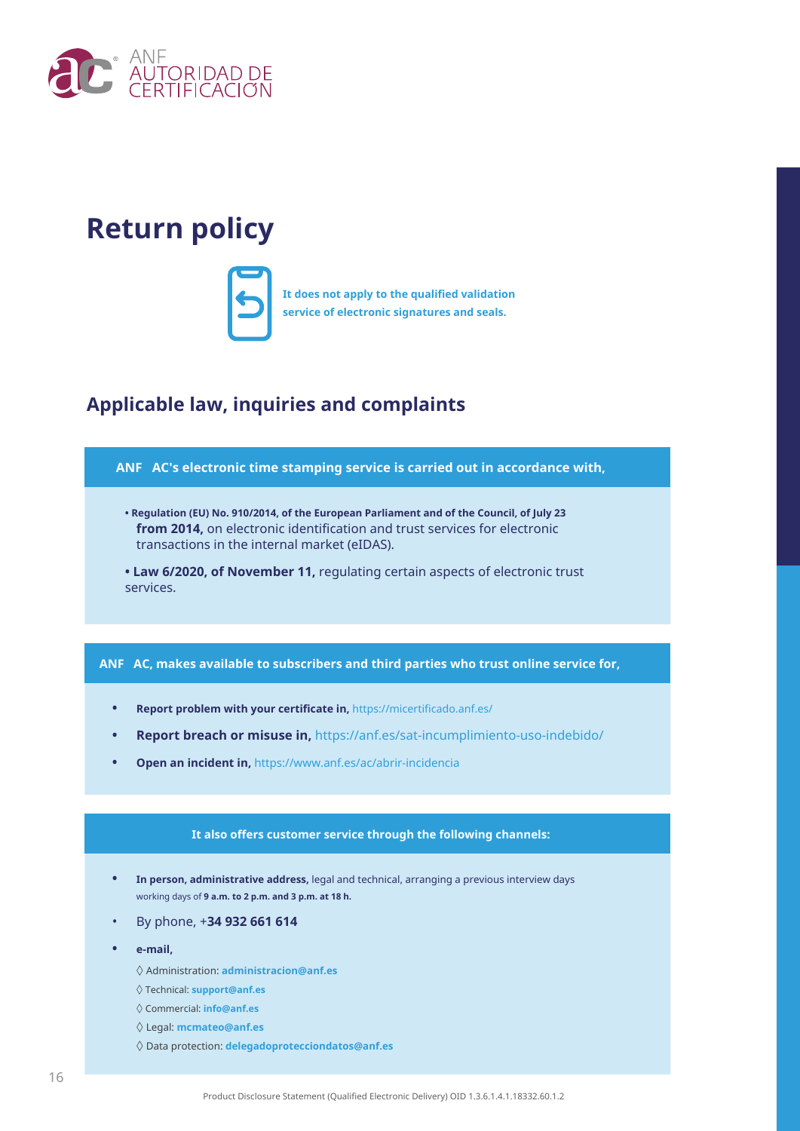

## **Return policy**



**It does not apply to the qualified validation service of electronic signatures and seals.**

### **Applicable law, inquiries and complaints**



- **Regulation (EU) No. 910/2014, of the European Parliament and of the Council, of July 23 from 2014,** on electronic identification and trust services for electronic transactions in the internal market (eIDAS).
- **Law 6/2020, of November 11,** regulating certain aspects of electronic trust services.

#### **ANF AC, makes available to subscribers and third parties who trust online service for,**

- **• Report problem with your certificate in,** https://micertificado.anf.es/
- **• Report breach or misuse in,** https://anf.es/sat-incumplimiento-uso-indebido/
- **• Open an incident in,** https://www.anf.es/ac/abrir-incidencia

#### **It also offers customer service through the following channels:**

- **• In person, administrative address,** legal and technical, arranging a previous interview days working days of **9 a.m. to 2 p.m. and 3 p.m. at 18 h.**
- By phone, +**34 932 661 614**
- **• e-mail,**
	- ◊ Administration: **administracion@anf.es**
	- ◊ Technical: **support@anf.es**
	- ◊ Commercial: **info@anf.es**
	- ◊ Legal: **mcmateo@anf.es**
	- ◊ Data protection: **delegadoprotecciondatos@anf.es**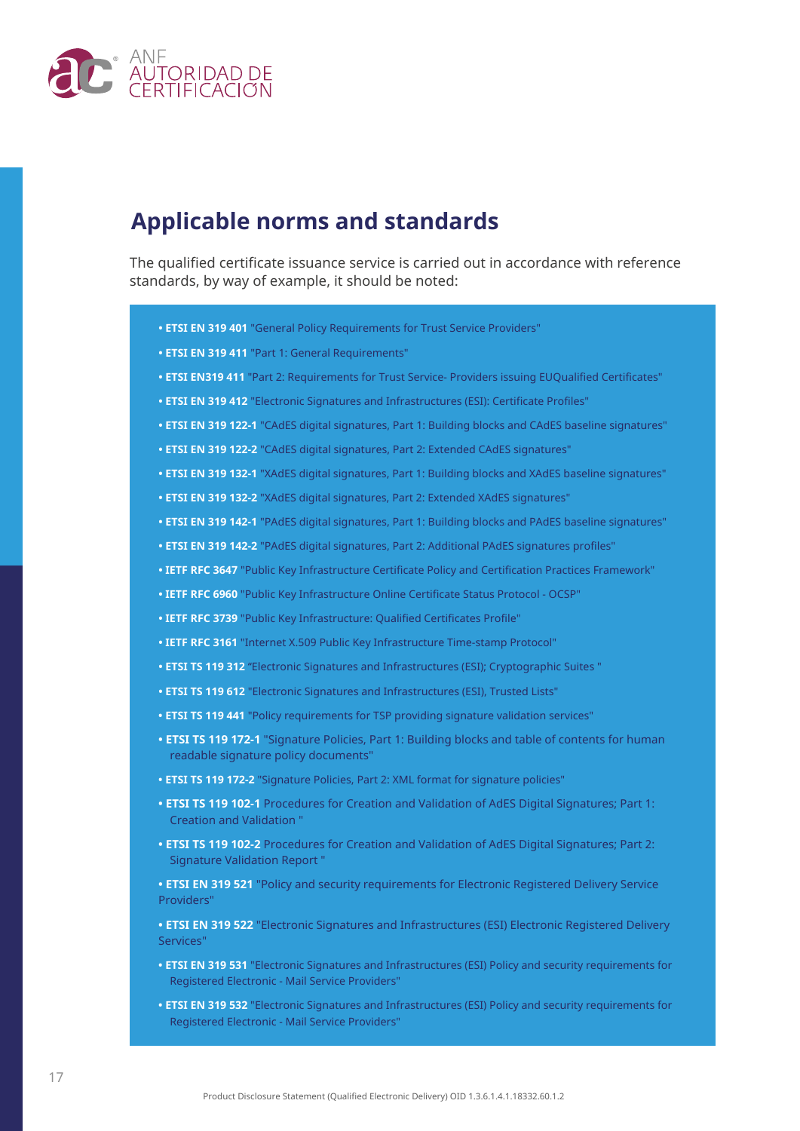

### **Applicable norms and standards**

The qualified certificate issuance service is carried out in accordance with reference standards, by way of example, it should be noted:

- **ETSI EN 319 401** "General Policy Requirements for Trust Service Providers"
- **ETSI EN 319 411** "Part 1: General Requirements"
- **ETSI EN319 411** "Part 2: Requirements for Trust Service- Providers issuing EUQualified Certificates"
- **ETSI EN 319 412** "Electronic Signatures and Infrastructures (ESI): Certificate Profiles"
- **ETSI EN 319 122-1** "CAdES digital signatures, Part 1: Building blocks and CAdES baseline signatures"
- **ETSI EN 319 122-2** "CAdES digital signatures, Part 2: Extended CAdES signatures"
- **ETSI EN 319 132-1** "XAdES digital signatures, Part 1: Building blocks and XAdES baseline signatures"
- **ETSI EN 319 132-2** "XAdES digital signatures, Part 2: Extended XAdES signatures"
- **ETSI EN 319 142-1** "PAdES digital signatures, Part 1: Building blocks and PAdES baseline signatures"
- **ETSI EN 319 142-2** "PAdES digital signatures, Part 2: Additional PAdES signatures profiles"
- **IETF RFC 3647** "Public Key Infrastructure Certificate Policy and Certification Practices Framework"
- **IETF RFC 6960** "Public Key Infrastructure Online Certificate Status Protocol OCSP"
- **IETF RFC 3739** "Public Key Infrastructure: Qualified Certificates Profile"
- **IETF RFC 3161** "Internet X.509 Public Key Infrastructure Time-stamp Protocol"
- **ETSI TS 119 312** "Electronic Signatures and Infrastructures (ESI); Cryptographic Suites "
- **ETSI TS 119 612** "Electronic Signatures and Infrastructures (ESI), Trusted Lists"
- **ETSI TS 119 441** "Policy requirements for TSP providing signature validation services"
- **ETSI TS 119 172-1** "Signature Policies, Part 1: Building blocks and table of contents for human readable signature policy documents"
- **ETSI TS 119 172-2** "Signature Policies, Part 2: XML format for signature policies"
- **ETSI TS 119 102-1** Procedures for Creation and Validation of AdES Digital Signatures; Part 1: Creation and Validation "
- **ETSI TS 119 102-2** Procedures for Creation and Validation of AdES Digital Signatures; Part 2: Signature Validation Report "
- **ETSI EN 319 521** "Policy and security requirements for Electronic Registered Delivery Service Providers"

**• ETSI EN 319 522** "Electronic Signatures and Infrastructures (ESI) Electronic Registered Delivery Services"

- **ETSI EN 319 531** "Electronic Signatures and Infrastructures (ESI) Policy and security requirements for Registered Electronic - Mail Service Providers"
- **ETSI EN 319 532** "Electronic Signatures and Infrastructures (ESI) Policy and security requirements for Registered Electronic - Mail Service Providers"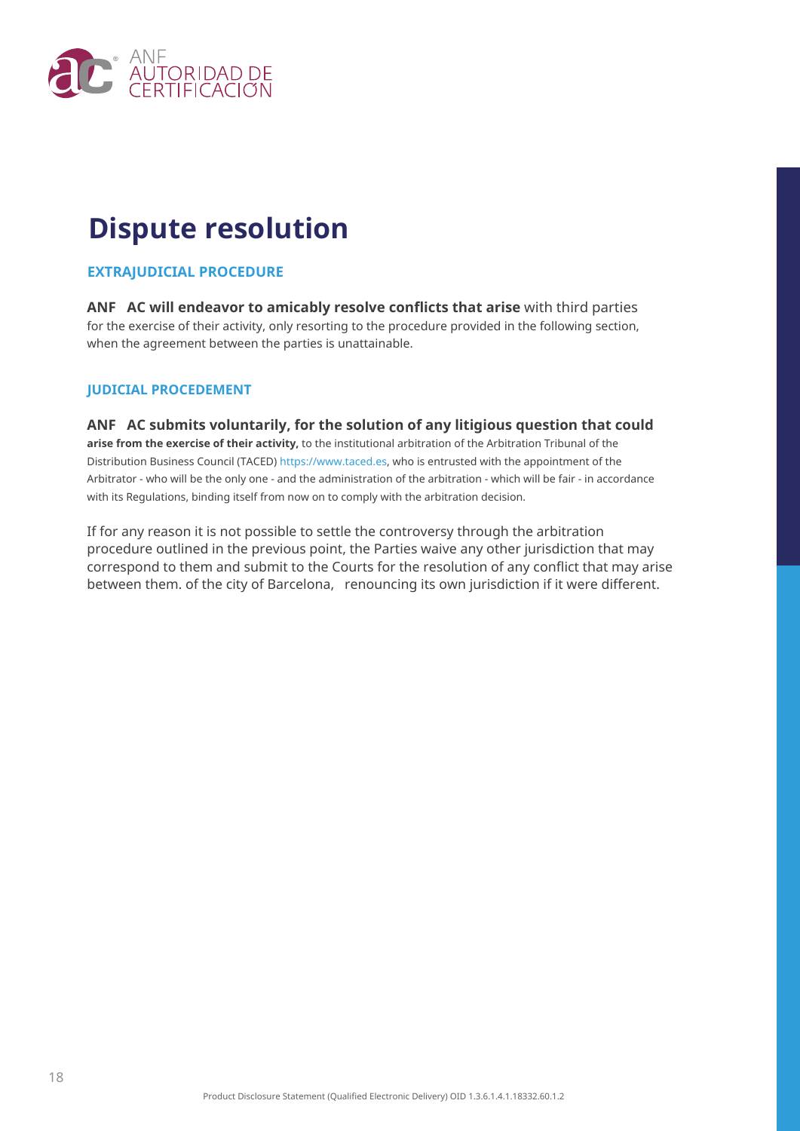

## **Dispute resolution**

#### **EXTRAJUDICIAL PROCEDURE**

**ANF AC will endeavor to amicably resolve conflicts that arise** with third parties for the exercise of their activity, only resorting to the procedure provided in the following section, when the agreement between the parties is unattainable.

#### **JUDICIAL PROCEDEMENT**

**ANF AC submits voluntarily, for the solution of any litigious question that could arise from the exercise of their activity,** to the institutional arbitration of the Arbitration Tribunal of the Distribution Business Council (TACED) https://www.taced.es, who is entrusted with the appointment of the Arbitrator - who will be the only one - and the administration of the arbitration - which will be fair - in accordance with its Regulations, binding itself from now on to comply with the arbitration decision.

If for any reason it is not possible to settle the controversy through the arbitration procedure outlined in the previous point, the Parties waive any other jurisdiction that may correspond to them and submit to the Courts for the resolution of any conflict that may arise between them. of the city of Barcelona, renouncing its own jurisdiction if it were different.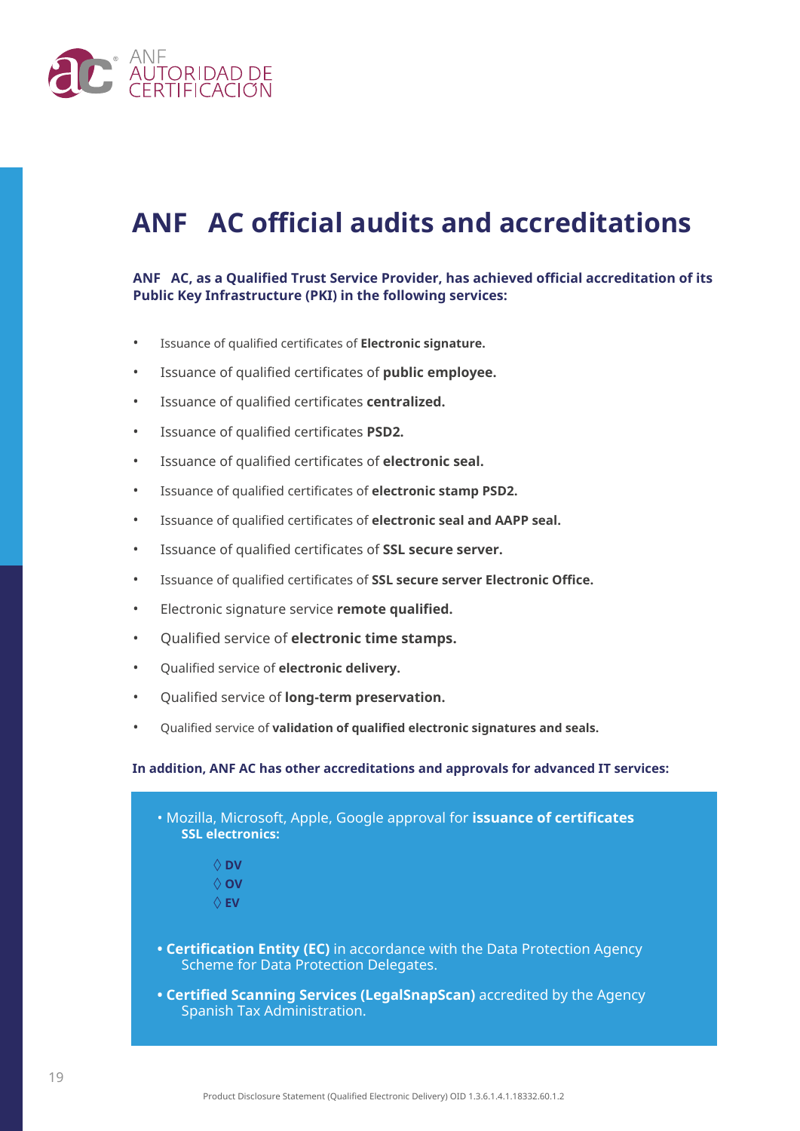

## **ANF AC official audits and accreditations**

#### **ANF AC, as a Qualified Trust Service Provider, has achieved official accreditation of its Public Key Infrastructure (PKI) in the following services:**

- Issuance of qualified certificates of **Electronic signature.**
- Issuance of qualified certificates of **public employee.**
- Issuance of qualified certificates **centralized.**
- Issuance of qualified certificates **PSD2.**
- Issuance of qualified certificates of **electronic seal.**
- Issuance of qualified certificates of **electronic stamp PSD2.**
- Issuance of qualified certificates of **electronic seal and AAPP seal.**
- Issuance of qualified certificates of **SSL secure server.**
- Issuance of qualified certificates of **SSL secure server Electronic Office.**
- Electronic signature service **remote qualified.**
- Qualified service of **electronic time stamps.**
- Qualified service of **electronic delivery.**
- Qualified service of **long-term preservation.**
- Qualified service of **validation of qualified electronic signatures and seals.**

#### **In addition, ANF AC has other accreditations and approvals for advanced IT services:**

| . Mozilla, Microsoft, Apple, Google approval for issuance of certificates<br><b>SSL electronics:</b>               |
|--------------------------------------------------------------------------------------------------------------------|
| $\Diamond$ DV                                                                                                      |
| ∧ ov                                                                                                               |
| $\Diamond$ EV                                                                                                      |
| • Certification Entity (EC) in accordance with the Data Protection Agency<br>Scheme for Data Protection Delegates. |
| • Certified Scanning Services (LegalSnapScan) accredited by the Agency<br>Spanish Tax Administration.              |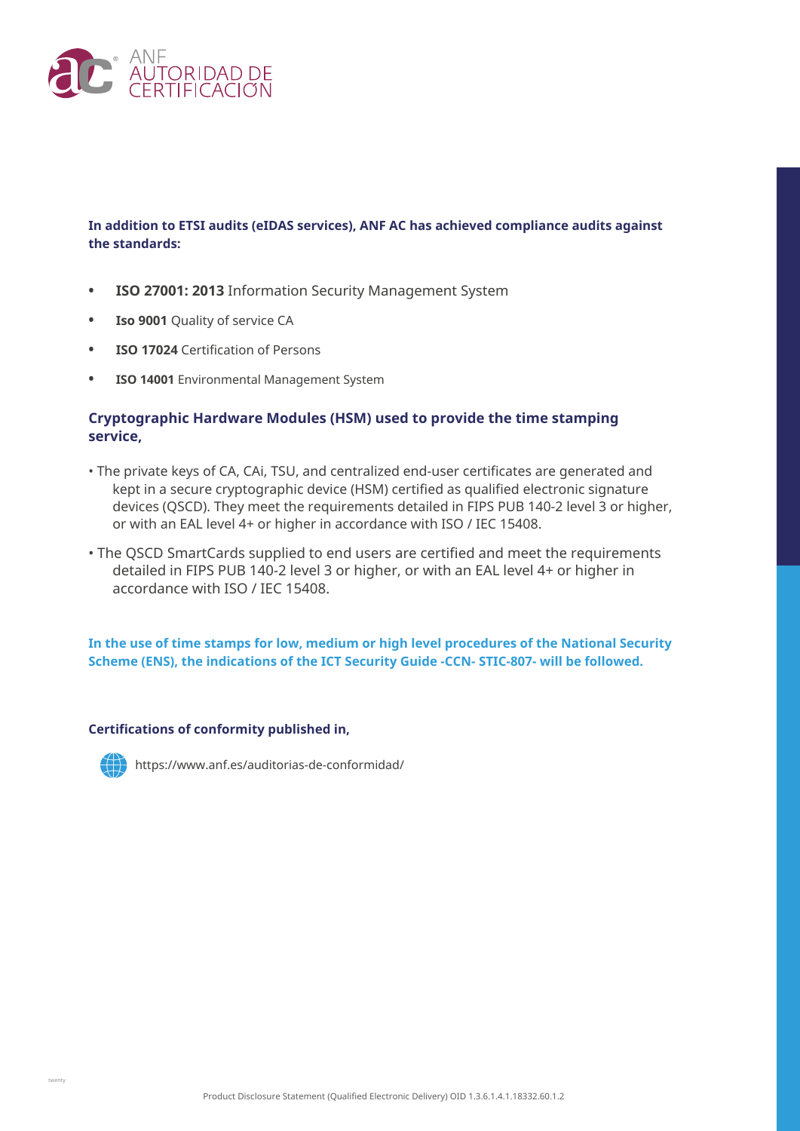

#### **In addition to ETSI audits (eIDAS services), ANF AC has achieved compliance audits against the standards:**

- **• ISO 27001: 2013** Information Security Management System
- **• Iso 9001** Quality of service CA
- **• ISO 17024** Certification of Persons
- **• ISO 14001** Environmental Management System

#### **Cryptographic Hardware Modules (HSM) used to provide the time stamping service,**

- The private keys of CA, CAi, TSU, and centralized end-user certificates are generated and kept in a secure cryptographic device (HSM) certified as qualified electronic signature devices (QSCD). They meet the requirements detailed in FIPS PUB 140-2 level 3 or higher, or with an EAL level 4+ or higher in accordance with ISO / IEC 15408.
- The QSCD SmartCards supplied to end users are certified and meet the requirements detailed in FIPS PUB 140-2 level 3 or higher, or with an EAL level 4+ or higher in accordance with ISO / IEC 15408.

**In the use of time stamps for low, medium or high level procedures of the National Security Scheme (ENS), the indications of the ICT Security Guide -CCN- STIC-807- will be followed.**

#### **Certifications of conformity published in,**



https://www.anf.es/auditorias-de-conformidad/